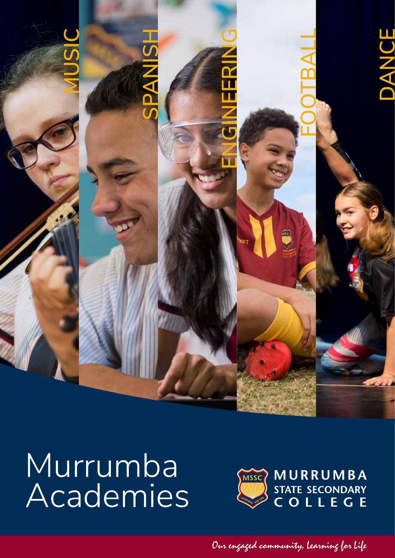

# Murrumba<br>Academies



Our engaged community, Learning for Life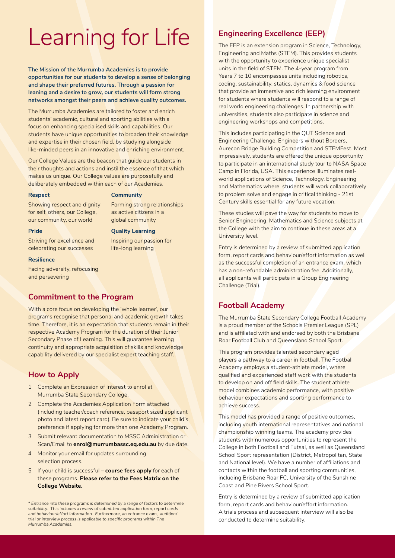# Learning for Life

**The Mission of the Murrumba Academies is to provide opportunities for our students to develop a sense of belonging and shape their preferred futures. Through a passion for leaning and a desire to grow, our students will form strong networks amongst their peers and achieve quality outcomes.** 

The Murrumba Academies are tailored to foster and enrich students' academic, cultural and sporting abilities with a focus on enhancing specialised skills and capabilities. Our students have unique opportunities to broaden their knowledge and expertise in their chosen field, by studying alongside like-minded peers in an innovative and enriching environment.

Our College Values are the beacon that guide our students in their thoughts and actions and instil the essence of that which makes us unique. Our College values are purposefully and deliberately embedded within each of our Academies.

#### **Respect**

**Pride**

#### **Community**

Forming strong relationships as active citizens in a global community

Inspiring our passion for life-long learning

Showing respect and dignity for self, others, our College, our community, our world

#### **Quality Learning**

Striving for excellence and celebrating our successes

#### **Resilience**

Facing adversity, refocusing and persevering

#### **Commitment to the Program**

With a core focus on developing the 'whole learner', our programs recognise that personal and academic growth takes time. Therefore, it is an expectation that students remain in their respective Academy Program for the duration of their Junior Secondary Phase of Learning. This will guarantee learning continuity and appropriate acquisition of skills and knowledge capability delivered by our specialist expert teaching staff.

### **How to Apply**

- 1 Complete an Expression of Interest to enrol at Murrumba State Secondary College.
- 2 Complete the Academies Application Form attached (including teacher/coach reference, passport sized applicant photo and latest report card). Be sure to indicate your child's preference if applying for more than one Academy Program.
- 3 Submit relevant documentation to MSSC Administration or Scan/Email to **enrol@murrumbassc.eq.edu.au** by due date.
- 4 Monitor your email for updates surrounding selection process.
- 5 If your child is successful **course fees apply** for each of these programs. **Please refer to the Fees Matrix on the College Website.**

*\* Entrance into these programs is determined by a range of factors to determine suitability. This includes a review of submitted application form, report cards and behaviour/effort information. Furthermore, an entrance exam, audition/ trial or interview process is applicable to specific programs within The Murrumba Academies.*

## **Engineering Excellence (EEP)**

The EEP is an extension program in Science, Technology, Engineering and Maths (STEM). This provides students with the opportunity to experience unique specialist units in the field of STEM. The 4-year program from Years 7 to 10 encompasses units including robotics, coding, sustainability, statics, dynamics & food science that provide an immersive and rich learning environment for students where students will respond to a range of real world engineering challenges. In partnership with universities, students also participate in science and engineering workshops and competitions.

This includes participating in the QUT Science and Engineering Challenge, Engineers without Borders, Aurecon Bridge Building Competition and STEMFest. Most impressively, students are offered the unique opportunity to participate in an international study tour to NASA Space Camp in Florida, USA. This experience illuminates realworld applications of Science, Technology, Engineering and Mathematics where students will work collaboratively to problem solve and engage in critical thinking - 21st Century skills essential for any future vocation.

These studies will pave the way for students to move to Senior Engineering, Mathematics and Science subjects at the College with the aim to continue in these areas at a University level.

Entry is determined by a review of submitted application form, report cards and behaviour/effort information as well as the successful completion of an entrance exam, which has a non-refundable administration fee. Additionally, all applicants will participate in a Group Engineering Challenge (Trial).

### **Football Academy**

The Murrumba State Secondary College Football Academy is a proud member of the Schools Premier League (SPL) and is affiliated with and endorsed by both the Brisbane Roar Football Club and Queensland School Sport.

This program provides talented secondary aged players a pathway to a career in football. The Football Academy employs a student-athlete model, where qualified and experienced staff work with the students to develop on and off field skills. The student athlete model combines academic performance, with positive behaviour expectations and sporting performance to achieve success.

This model has provided a range of positive outcomes, including youth international representatives and national championship winning teams. The academy provides students with numerous opportunities to represent the College in both Football and Futsal, as well as Queensland School Sport representation (District, Metropolitan, State and National level). We have a number of affiliations and contacts within the football and sporting communities, including Brisbane Roar FC, University of the Sunshine Coast and Pine Rivers School Sport.

Entry is determined by a review of submitted application form, report cards and behaviour/effort information. A trials process and subsequent interview will also be conducted to determine suitability.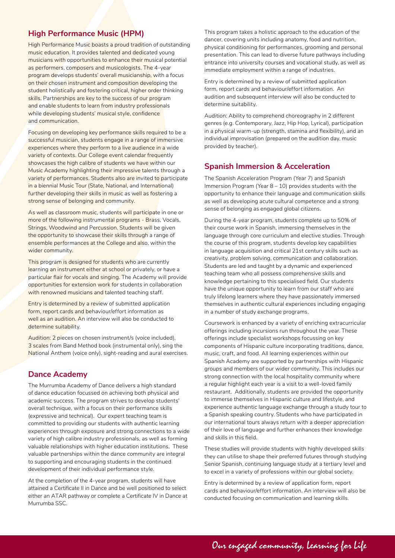# **High Performance Music (HPM)**

High Performance Music boasts a proud tradition of outstanding music education. It provides talented and dedicated young musicians with opportunities to enhance their musical potential as performers, composers and musicologists. The 4-year program develops students' overall musicianship, with a focus on their chosen instrument and composition developing the student holistically and fostering critical, higher order thinking skills. Partnerships are key to the success of our program and enable students to learn from industry professionals while developing students' musical style, confidence and communication.

Focusing on developing key performance skills required to be a successful musician, students engage in a range of immersive experiences where they perform to a live audience in a wide variety of contexts. Our College event calendar frequently showcases the high calibre of students we have within our Music Academy highlighting their impressive talents through a variety of performances. Students also are invited to participate in a biennial Music Tour (State, National, and International) further developing their skills in music as well as fostering a strong sense of belonging and community.

As well as classroom music, students will participate in one or more of the following instrumental programs - Brass, Vocals, Strings, Woodwind and Percussion. Students will be given the opportunity to showcase their skills through a range of ensemble performances at the College and also, within the wider community.

This program is designed for students who are currently learning an instrument either at school or privately, or have a particular flair for vocals and singing. The Academy will provide opportunities for extension work for students in collaboration with renowned musicians and talented teaching staff.

Entry is determined by a review of submitted application form, report cards and behaviour/effort information as well as an audition. An interview will also be conducted to determine suitability.

Audition: 2 pieces on chosen instrument/s (voice included), 3 scales from Band Method book (instrumental only), sing the National Anthem (voice only), sight-reading and aural exercises.

#### **Dance Academy**

The Murrumba Academy of Dance delivers a high standard of dance education focussed on achieving both physical and academic success. The program strives to develop students' overall technique, with a focus on their performance skills (expressive and technical). Our expert teaching team is committed to providing our students with authentic learning experiences through exposure and strong connections to a wide variety of high calibre industry professionals, as well as forming valuable relationships with higher education institutions. These valuable partnerships within the dance community are integral to supporting and encouraging students in the continued development of their individual performance style.

At the completion of the 4-year program, students will have attained a Certificate II in Dance and be well positioned to select either an ATAR pathway or complete a Certificate IV in Dance at Murrumba SSC.

This program takes a holistic approach to the education of the dancer, covering units including anatomy, food and nutrition, physical conditioning for performances, grooming and personal presentation. This can lead to diverse future pathways including entrance into university courses and vocational study, as well as immediate employment within a range of industries.

Entry is determined by a review of submitted application form, report cards and behaviour/effort information. An audition and subsequent interview will also be conducted to determine suitability.

Audition: Ability to comprehend choreography in 2 different genres (e.g. Contemporary, Jazz, Hip Hop, Lyrical), participation in a physical warm-up (strength, stamina and flexibility), and an individual improvisation (prepared on the audition day, music provided by teacher).

#### **Spanish Immersion & Acceleration**

The Spanish Acceleration Program (Year 7) and Spanish Immersion Program (Year 8 – 10) provides students with the opportunity to enhance their language and communication skills as well as developing acute cultural competence and a strong sense of belonging as engaged global citizens.

During the 4-year program, students complete up to 50% of their course work in Spanish, immersing themselves in the language through core curriculum and elective studies. Through the course of this program, students develop key capabilities in language acquisition and critical 21st century skills such as creativity, problem solving, communication and collaboration. Students are led and taught by a dynamic and experienced teaching team who all possess comprehensive skills and knowledge pertaining to this specialised field. Our students have the unique opportunity to learn from our staff who are truly lifelong learners where they have passionately immersed themselves in authentic cultural experiences including engaging in a number of study exchange programs.

Coursework is enhanced by a variety of enriching extracurricular offerings including incursions run throughout the year. These offerings include specialist workshops focussing on key components of Hispanic culture incorporating traditions, dance, music, craft, and food. All learning experiences within our Spanish Academy are supported by partnerships with Hispanic groups and members of our wider community. This includes our strong connection with the local hospitality community where a regular highlight each year is a visit to a well-loved family restaurant. Additionally, students are provided the opportunity to immerse themselves in Hispanic culture and lifestyle, and experience authentic language exchange through a study tour to a Spanish speaking country. Students who have participated in our international tours always return with a deeper appreciation of their love of language and further enhances their knowledge and skills in this field.

These studies will provide students with highly developed skills they can utilise to shape their preferred futures through studying Senior Spanish, continuing language study at a tertiary level and to excel in a variety of professions within our global society.

Entry is determined by a review of application form, report cards and behaviour/effort information. An interview will also be conducted focusing on communication and learning skills.

Our engaged community, Learning for Life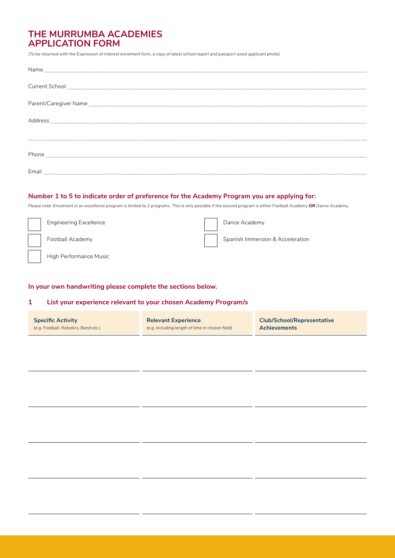# **THE MURRUMBA ACADEMIES APPLICATION FORM**

*(To be returned with the Expression of Interest enrolment form, a copy of latest school report and passport sized applicant photo).*

| Name                  |
|-----------------------|
| <b>Current School</b> |
|                       |
| Address               |
|                       |
| Phone                 |
| $Email_$              |

#### **Number 1 to 5 to indicate order of preference for the Academy Program you are applying for:**

*Please note: Enrolment in an excellence program is limited to 2 programs. This is only possible if the second program is either Football Academy* **OR** *Dance Academy.*

| <b>Engineering Excellence</b> | Dance Academy                    |
|-------------------------------|----------------------------------|
| Football Academy              | Spanish Immersion & Acceleration |
| High Performance Music        |                                  |

#### **In your own handwriting please complete the sections below.**

#### **1 List your experience relevant to your chosen Academy Program/s**

| <b>Specific Activity</b>             | <b>Relevant Experience</b>                      | <b>Club/School/Representative</b> |
|--------------------------------------|-------------------------------------------------|-----------------------------------|
| (e.g. Football, Robotics, Band etc.) | (e.g. including length of time in chosen field) | <b>Achievements</b>               |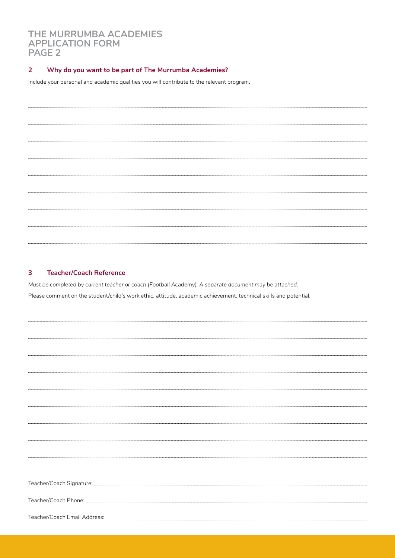# **THE MURRUMBA ACADEMIES APPLICATION FORM PAGE 2**

#### **2 Why do you want to be part of The Murrumba Academies?**

Include your personal and academic qualities you will contribute to the relevant program.

## **3 Teacher/Coach Reference**

*Must be completed by current teacher or coach (Football Academy). A separate document may be attached.* Please comment on the student/child's work ethic, attitude, academic achievement, technical skills and potential.